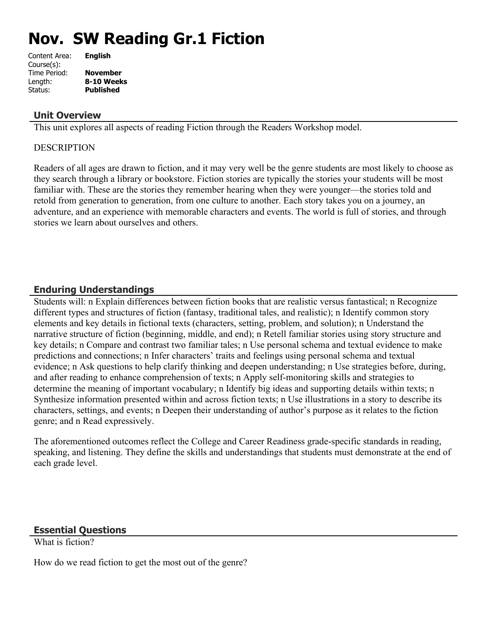# **Nov. SW Reading Gr.1 Fiction**

| Content Area: | <b>English</b>   |
|---------------|------------------|
| Course(s):    |                  |
| Time Period:  | <b>November</b>  |
| Length:       | 8-10 Weeks       |
| Status:       | <b>Published</b> |
|               |                  |

#### **Unit Overview**

This unit explores all aspects of reading Fiction through the Readers Workshop model.

#### **DESCRIPTION**

Readers of all ages are drawn to fiction, and it may very well be the genre students are most likely to choose as they search through a library or bookstore. Fiction stories are typically the stories your students will be most familiar with. These are the stories they remember hearing when they were younger—the stories told and retold from generation to generation, from one culture to another. Each story takes you on a journey, an adventure, and an experience with memorable characters and events. The world is full of stories, and through stories we learn about ourselves and others.

#### **Enduring Understandings**

Students will: n Explain differences between fiction books that are realistic versus fantastical; n Recognize different types and structures of fiction (fantasy, traditional tales, and realistic); n Identify common story elements and key details in fictional texts (characters, setting, problem, and solution); n Understand the narrative structure of fiction (beginning, middle, and end); n Retell familiar stories using story structure and key details; n Compare and contrast two familiar tales; n Use personal schema and textual evidence to make predictions and connections; n Infer characters' traits and feelings using personal schema and textual evidence; n Ask questions to help clarify thinking and deepen understanding; n Use strategies before, during, and after reading to enhance comprehension of texts; n Apply self-monitoring skills and strategies to determine the meaning of important vocabulary; n Identify big ideas and supporting details within texts; n Synthesize information presented within and across fiction texts; n Use illustrations in a story to describe its characters, settings, and events; n Deepen their understanding of author's purpose as it relates to the fiction genre; and n Read expressively.

The aforementioned outcomes reflect the College and Career Readiness grade-specific standards in reading, speaking, and listening. They define the skills and understandings that students must demonstrate at the end of each grade level.

#### **Essential Questions**

What is fiction?

How do we read fiction to get the most out of the genre?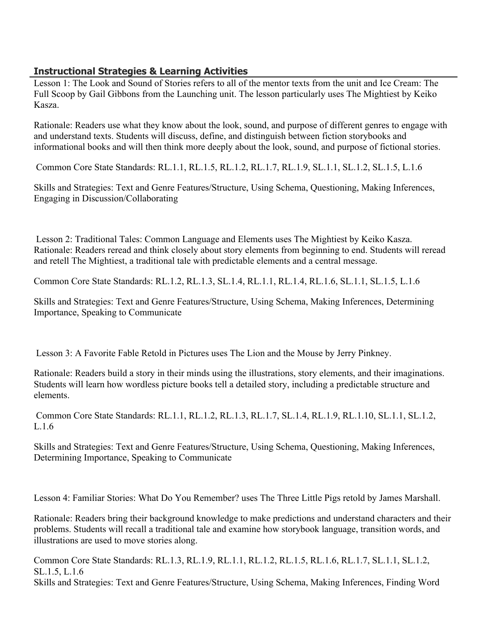# **Instructional Strategies & Learning Activities**

Lesson 1: The Look and Sound of Stories refers to all of the mentor texts from the unit and Ice Cream: The Full Scoop by Gail Gibbons from the Launching unit. The lesson particularly uses The Mightiest by Keiko Kasza.

Rationale: Readers use what they know about the look, sound, and purpose of different genres to engage with and understand texts. Students will discuss, define, and distinguish between fiction storybooks and informational books and will then think more deeply about the look, sound, and purpose of fictional stories.

Common Core State Standards: RL.1.1, RL.1.5, RL.1.2, RL.1.7, RL.1.9, SL.1.1, SL.1.2, SL.1.5, L.1.6

Skills and Strategies: Text and Genre Features/Structure, Using Schema, Questioning, Making Inferences, Engaging in Discussion/Collaborating

 Lesson 2: Traditional Tales: Common Language and Elements uses The Mightiest by Keiko Kasza. Rationale: Readers reread and think closely about story elements from beginning to end. Students will reread and retell The Mightiest, a traditional tale with predictable elements and a central message.

Common Core State Standards: RL.1.2, RL.1.3, SL.1.4, RL.1.1, RL.1.4, RL.1.6, SL.1.1, SL.1.5, L.1.6

Skills and Strategies: Text and Genre Features/Structure, Using Schema, Making Inferences, Determining Importance, Speaking to Communicate

Lesson 3: A Favorite Fable Retold in Pictures uses The Lion and the Mouse by Jerry Pinkney.

Rationale: Readers build a story in their minds using the illustrations, story elements, and their imaginations. Students will learn how wordless picture books tell a detailed story, including a predictable structure and elements.

 Common Core State Standards: RL.1.1, RL.1.2, RL.1.3, RL.1.7, SL.1.4, RL.1.9, RL.1.10, SL.1.1, SL.1.2, L.1.6

Skills and Strategies: Text and Genre Features/Structure, Using Schema, Questioning, Making Inferences, Determining Importance, Speaking to Communicate

Lesson 4: Familiar Stories: What Do You Remember? uses The Three Little Pigs retold by James Marshall.

Rationale: Readers bring their background knowledge to make predictions and understand characters and their problems. Students will recall a traditional tale and examine how storybook language, transition words, and illustrations are used to move stories along.

Common Core State Standards: RL.1.3, RL.1.9, RL.1.1, RL.1.2, RL.1.5, RL.1.6, RL.1.7, SL.1.1, SL.1.2, SL.1.5, L.1.6 Skills and Strategies: Text and Genre Features/Structure, Using Schema, Making Inferences, Finding Word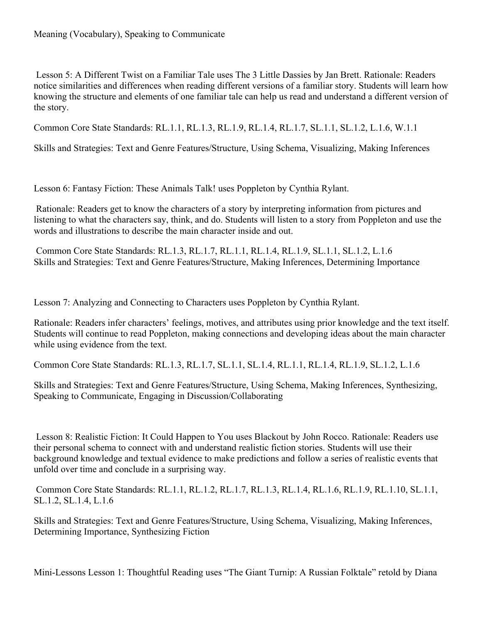Lesson 5: A Different Twist on a Familiar Tale uses The 3 Little Dassies by Jan Brett. Rationale: Readers notice similarities and differences when reading different versions of a familiar story. Students will learn how knowing the structure and elements of one familiar tale can help us read and understand a different version of the story.

Common Core State Standards: RL.1.1, RL.1.3, RL.1.9, RL.1.4, RL.1.7, SL.1.1, SL.1.2, L.1.6, W.1.1

Skills and Strategies: Text and Genre Features/Structure, Using Schema, Visualizing, Making Inferences

Lesson 6: Fantasy Fiction: These Animals Talk! uses Poppleton by Cynthia Rylant.

 Rationale: Readers get to know the characters of a story by interpreting information from pictures and listening to what the characters say, think, and do. Students will listen to a story from Poppleton and use the words and illustrations to describe the main character inside and out.

 Common Core State Standards: RL.1.3, RL.1.7, RL.1.1, RL.1.4, RL.1.9, SL.1.1, SL.1.2, L.1.6 Skills and Strategies: Text and Genre Features/Structure, Making Inferences, Determining Importance

Lesson 7: Analyzing and Connecting to Characters uses Poppleton by Cynthia Rylant.

Rationale: Readers infer characters' feelings, motives, and attributes using prior knowledge and the text itself. Students will continue to read Poppleton, making connections and developing ideas about the main character while using evidence from the text.

Common Core State Standards: RL.1.3, RL.1.7, SL.1.1, SL.1.4, RL.1.1, RL.1.4, RL.1.9, SL.1.2, L.1.6

Skills and Strategies: Text and Genre Features/Structure, Using Schema, Making Inferences, Synthesizing, Speaking to Communicate, Engaging in Discussion/Collaborating

 Lesson 8: Realistic Fiction: It Could Happen to You uses Blackout by John Rocco. Rationale: Readers use their personal schema to connect with and understand realistic fiction stories. Students will use their background knowledge and textual evidence to make predictions and follow a series of realistic events that unfold over time and conclude in a surprising way.

 Common Core State Standards: RL.1.1, RL.1.2, RL.1.7, RL.1.3, RL.1.4, RL.1.6, RL.1.9, RL.1.10, SL.1.1, SL.1.2, SL.1.4, L.1.6

Skills and Strategies: Text and Genre Features/Structure, Using Schema, Visualizing, Making Inferences, Determining Importance, Synthesizing Fiction

Mini-Lessons Lesson 1: Thoughtful Reading uses "The Giant Turnip: A Russian Folktale" retold by Diana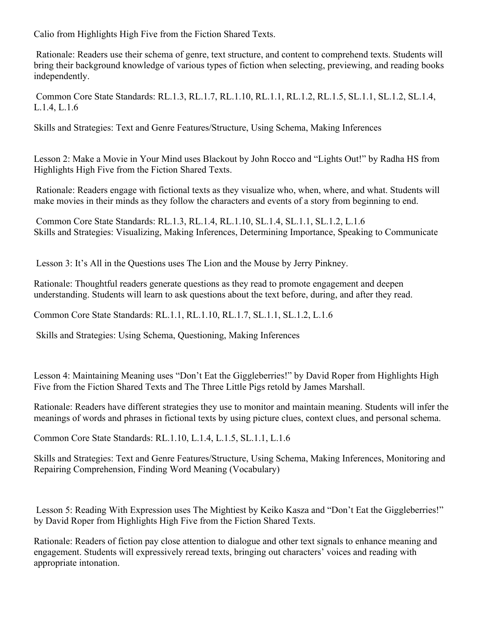Calio from Highlights High Five from the Fiction Shared Texts.

 Rationale: Readers use their schema of genre, text structure, and content to comprehend texts. Students will bring their background knowledge of various types of fiction when selecting, previewing, and reading books independently.

 Common Core State Standards: RL.1.3, RL.1.7, RL.1.10, RL.1.1, RL.1.2, RL.1.5, SL.1.1, SL.1.2, SL.1.4, L.1.4, L.1.6

Skills and Strategies: Text and Genre Features/Structure, Using Schema, Making Inferences

Lesson 2: Make a Movie in Your Mind uses Blackout by John Rocco and "Lights Out!" by Radha HS from Highlights High Five from the Fiction Shared Texts.

 Rationale: Readers engage with fictional texts as they visualize who, when, where, and what. Students will make movies in their minds as they follow the characters and events of a story from beginning to end.

 Common Core State Standards: RL.1.3, RL.1.4, RL.1.10, SL.1.4, SL.1.1, SL.1.2, L.1.6 Skills and Strategies: Visualizing, Making Inferences, Determining Importance, Speaking to Communicate

Lesson 3: It's All in the Questions uses The Lion and the Mouse by Jerry Pinkney.

Rationale: Thoughtful readers generate questions as they read to promote engagement and deepen understanding. Students will learn to ask questions about the text before, during, and after they read.

Common Core State Standards: RL.1.1, RL.1.10, RL.1.7, SL.1.1, SL.1.2, L.1.6

Skills and Strategies: Using Schema, Questioning, Making Inferences

Lesson 4: Maintaining Meaning uses "Don't Eat the Giggleberries!" by David Roper from Highlights High Five from the Fiction Shared Texts and The Three Little Pigs retold by James Marshall.

Rationale: Readers have different strategies they use to monitor and maintain meaning. Students will infer the meanings of words and phrases in fictional texts by using picture clues, context clues, and personal schema.

Common Core State Standards: RL.1.10, L.1.4, L.1.5, SL.1.1, L.1.6

Skills and Strategies: Text and Genre Features/Structure, Using Schema, Making Inferences, Monitoring and Repairing Comprehension, Finding Word Meaning (Vocabulary)

 Lesson 5: Reading With Expression uses The Mightiest by Keiko Kasza and "Don't Eat the Giggleberries!" by David Roper from Highlights High Five from the Fiction Shared Texts.

Rationale: Readers of fiction pay close attention to dialogue and other text signals to enhance meaning and engagement. Students will expressively reread texts, bringing out characters' voices and reading with appropriate intonation.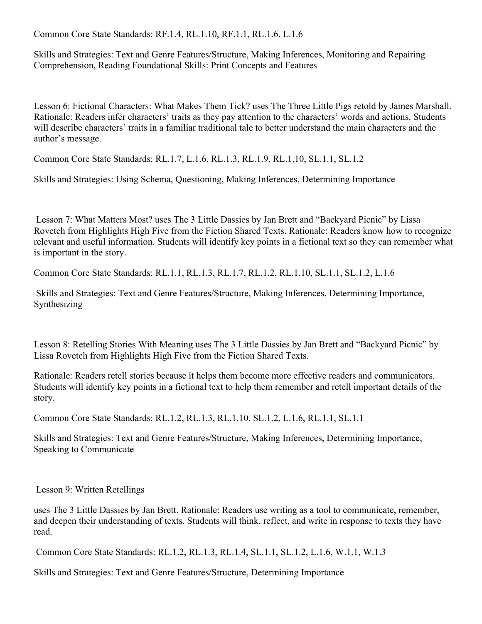Common Core State Standards: RF.1.4, RL.1.10, RF.1.1, RL.1.6, L.1.6

Skills and Strategies: Text and Genre Features/Structure, Making Inferences, Monitoring and Repairing Comprehension, Reading Foundational Skills: Print Concepts and Features

Lesson 6: Fictional Characters: What Makes Them Tick? uses The Three Little Pigs retold by James Marshall. Rationale: Readers infer characters' traits as they pay attention to the characters' words and actions. Students will describe characters' traits in a familiar traditional tale to better understand the main characters and the author's message.

Common Core State Standards: RL.1.7, L.1.6, RL.1.3, RL.1.9, RL.1.10, SL.1.1, SL.1.2

Skills and Strategies: Using Schema, Questioning, Making Inferences, Determining Importance

 Lesson 7: What Matters Most? uses The 3 Little Dassies by Jan Brett and "Backyard Picnic" by Lissa Rovetch from Highlights High Five from the Fiction Shared Texts. Rationale: Readers know how to recognize relevant and useful information. Students will identify key points in a fictional text so they can remember what is important in the story.

Common Core State Standards: RL.1.1, RL.1.3, RL.1.7, RL.1.2, RL.1.10, SL.1.1, SL.1.2, L.1.6

 Skills and Strategies: Text and Genre Features/Structure, Making Inferences, Determining Importance, Synthesizing

Lesson 8: Retelling Stories With Meaning uses The 3 Little Dassies by Jan Brett and "Backyard Picnic" by Lissa Rovetch from Highlights High Five from the Fiction Shared Texts.

Rationale: Readers retell stories because it helps them become more effective readers and communicators. Students will identify key points in a fictional text to help them remember and retell important details of the story.

Common Core State Standards: RL.1.2, RL.1.3, RL.1.10, SL.1.2, L.1.6, RL.1.1, SL.1.1

Skills and Strategies: Text and Genre Features/Structure, Making Inferences, Determining Importance, Speaking to Communicate

Lesson 9: Written Retellings

uses The 3 Little Dassies by Jan Brett. Rationale: Readers use writing as a tool to communicate, remember, and deepen their understanding of texts. Students will think, reflect, and write in response to texts they have read.

Common Core State Standards: RL.1.2, RL.1.3, RL.1.4, SL.1.1, SL.1.2, L.1.6, W.1.1, W.1.3

Skills and Strategies: Text and Genre Features/Structure, Determining Importance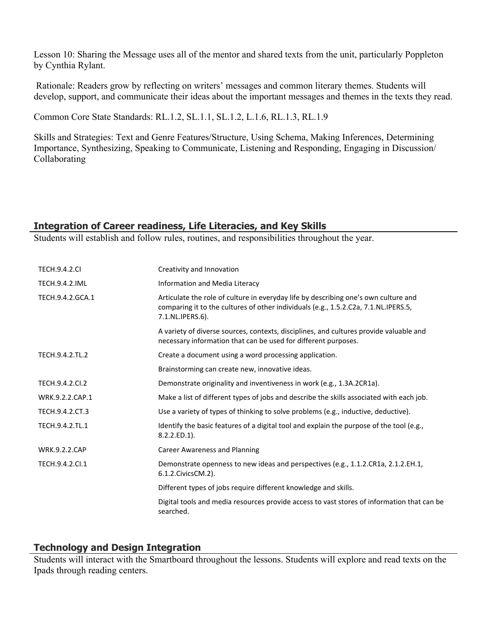Lesson 10: Sharing the Message uses all of the mentor and shared texts from the unit, particularly Poppleton by Cynthia Rylant.

 Rationale: Readers grow by reflecting on writers' messages and common literary themes. Students will develop, support, and communicate their ideas about the important messages and themes in the texts they read.

Common Core State Standards: RL.1.2, SL.1.1, SL.1.2, L.1.6, RL.1.3, RL.1.9

Skills and Strategies: Text and Genre Features/Structure, Using Schema, Making Inferences, Determining Importance, Synthesizing, Speaking to Communicate, Listening and Responding, Engaging in Discussion/ Collaborating

# **Integration of Career readiness, Life Literacies, and Key Skills**

Students will establish and follow rules, routines, and responsibilities throughout the year.

| <b>TECH.9.4.2.CI</b>  | Creativity and Innovation                                                                                                                                                                      |
|-----------------------|------------------------------------------------------------------------------------------------------------------------------------------------------------------------------------------------|
| <b>TECH.9.4.2.IML</b> | Information and Media Literacy                                                                                                                                                                 |
| TECH.9.4.2.GCA.1      | Articulate the role of culture in everyday life by describing one's own culture and<br>comparing it to the cultures of other individuals (e.g., 1.5.2.C2a, 7.1.NL.IPERS.5,<br>7.1.NL.IPERS.6). |
|                       | A variety of diverse sources, contexts, disciplines, and cultures provide valuable and<br>necessary information that can be used for different purposes.                                       |
| TECH.9.4.2.TL.2       | Create a document using a word processing application.                                                                                                                                         |
|                       | Brainstorming can create new, innovative ideas.                                                                                                                                                |
| TECH.9.4.2.CI.2       | Demonstrate originality and inventiveness in work (e.g., 1.3A.2CR1a).                                                                                                                          |
| WRK.9.2.2.CAP.1       | Make a list of different types of jobs and describe the skills associated with each job.                                                                                                       |
| TECH.9.4.2.CT.3       | Use a variety of types of thinking to solve problems (e.g., inductive, deductive).                                                                                                             |
| TECH.9.4.2.TL.1       | Identify the basic features of a digital tool and explain the purpose of the tool (e.g.,<br>$8.2.2.ED.1$ ).                                                                                    |
| <b>WRK.9.2.2.CAP</b>  | <b>Career Awareness and Planning</b>                                                                                                                                                           |
| TECH.9.4.2.Cl.1       | Demonstrate openness to new ideas and perspectives (e.g., 1.1.2.CR1a, 2.1.2.EH.1,<br>6.1.2. Civics CM. 2).                                                                                     |
|                       | Different types of jobs require different knowledge and skills.                                                                                                                                |
|                       | Digital tools and media resources provide access to vast stores of information that can be<br>searched.                                                                                        |

# **Technology and Design Integration**

Students will interact with the Smartboard throughout the lessons. Students will explore and read texts on the Ipads through reading centers.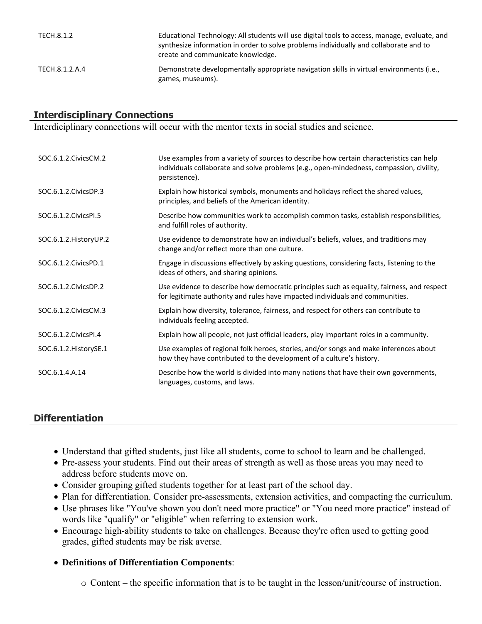| TECH.8.1.2     | Educational Technology: All students will use digital tools to access, manage, evaluate, and<br>synthesize information in order to solve problems individually and collaborate and to<br>create and communicate knowledge. |
|----------------|----------------------------------------------------------------------------------------------------------------------------------------------------------------------------------------------------------------------------|
| TECH.8.1.2.A.4 | Demonstrate developmentally appropriate navigation skills in virtual environments (i.e.,<br>games, museums).                                                                                                               |

# **Interdisciplinary Connections**

Interdiciplinary connections will occur with the mentor texts in social studies and science.

| SOC.6.1.2.CivicsCM.2    | Use examples from a variety of sources to describe how certain characteristics can help<br>individuals collaborate and solve problems (e.g., open-mindedness, compassion, civility,<br>persistence). |
|-------------------------|------------------------------------------------------------------------------------------------------------------------------------------------------------------------------------------------------|
| SOC.6.1.2.CivicsDP.3    | Explain how historical symbols, monuments and holidays reflect the shared values,<br>principles, and beliefs of the American identity.                                                               |
| SOC.6.1.2. Civics PI.5  | Describe how communities work to accomplish common tasks, establish responsibilities,<br>and fulfill roles of authority.                                                                             |
| SOC.6.1.2. History UP.2 | Use evidence to demonstrate how an individual's beliefs, values, and traditions may<br>change and/or reflect more than one culture.                                                                  |
| SOC.6.1.2. Civics PD.1  | Engage in discussions effectively by asking questions, considering facts, listening to the<br>ideas of others, and sharing opinions.                                                                 |
| SOC.6.1.2. Civics DP.2  | Use evidence to describe how democratic principles such as equality, fairness, and respect<br>for legitimate authority and rules have impacted individuals and communities.                          |
| SOC.6.1.2. Civics CM.3  | Explain how diversity, tolerance, fairness, and respect for others can contribute to<br>individuals feeling accepted.                                                                                |
| SOC.6.1.2. Civics PI.4  | Explain how all people, not just official leaders, play important roles in a community.                                                                                                              |
| SOC.6.1.2. HistorySE.1  | Use examples of regional folk heroes, stories, and/or songs and make inferences about<br>how they have contributed to the development of a culture's history.                                        |
| SOC.6.1.4.A.14          | Describe how the world is divided into many nations that have their own governments,<br>languages, customs, and laws.                                                                                |

# **Differentiation**

- Understand that gifted students, just like all students, come to school to learn and be challenged.
- Pre-assess your students. Find out their areas of strength as well as those areas you may need to address before students move on.
- Consider grouping gifted students together for at least part of the school day.
- Plan for differentiation. Consider pre-assessments, extension activities, and compacting the curriculum.
- Use phrases like "You've shown you don't need more practice" or "You need more practice" instead of words like "qualify" or "eligible" when referring to extension work.
- Encourage high-ability students to take on challenges. Because they're often used to getting good grades, gifted students may be risk averse.
- **Definitions of Differentiation Components**:
	- o Content the specific information that is to be taught in the lesson/unit/course of instruction.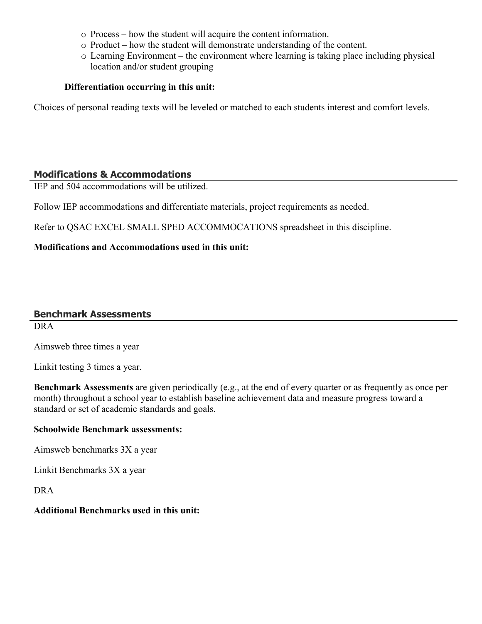- o Process how the student will acquire the content information.
- o Product how the student will demonstrate understanding of the content.
- o Learning Environment the environment where learning is taking place including physical location and/or student grouping

#### **Differentiation occurring in this unit:**

Choices of personal reading texts will be leveled or matched to each students interest and comfort levels.

#### **Modifications & Accommodations**

IEP and 504 accommodations will be utilized.

Follow IEP accommodations and differentiate materials, project requirements as needed.

Refer to QSAC EXCEL SMALL SPED ACCOMMOCATIONS spreadsheet in this discipline.

#### **Modifications and Accommodations used in this unit:**

# **Benchmark Assessments**

DRA

Aimsweb three times a year

Linkit testing 3 times a year.

**Benchmark Assessments** are given periodically (e.g., at the end of every quarter or as frequently as once per month) throughout a school year to establish baseline achievement data and measure progress toward a standard or set of academic standards and goals.

#### **Schoolwide Benchmark assessments:**

Aimsweb benchmarks 3X a year

Linkit Benchmarks 3X a year

DRA

#### **Additional Benchmarks used in this unit:**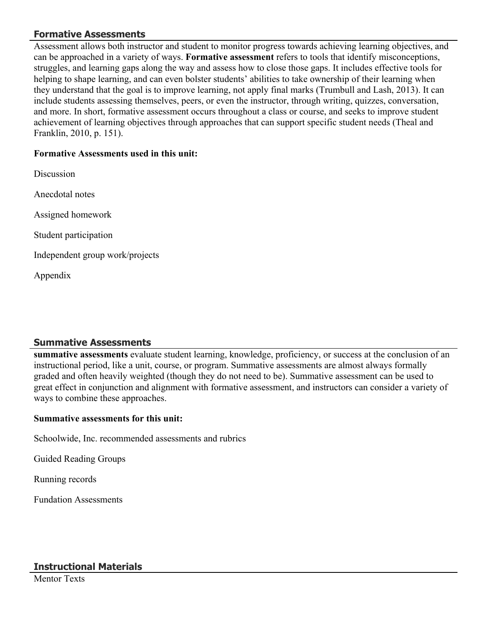# **Formative Assessments**

Assessment allows both instructor and student to monitor progress towards achieving learning objectives, and can be approached in a variety of ways. **Formative assessment** refers to tools that identify misconceptions, struggles, and learning gaps along the way and assess how to close those gaps. It includes effective tools for helping to shape learning, and can even bolster students' abilities to take ownership of their learning when they understand that the goal is to improve learning, not apply final marks (Trumbull and Lash, 2013). It can include students assessing themselves, peers, or even the instructor, through writing, quizzes, conversation, and more. In short, formative assessment occurs throughout a class or course, and seeks to improve student achievement of learning objectives through approaches that can support specific student needs (Theal and Franklin, 2010, p. 151).

#### **Formative Assessments used in this unit:**

Discussion Anecdotal notes Assigned homework Student participation Independent group work/projects Appendix

# **Summative Assessments**

**summative assessments** evaluate student learning, knowledge, proficiency, or success at the conclusion of an instructional period, like a unit, course, or program. Summative assessments are almost always formally graded and often heavily weighted (though they do not need to be). Summative assessment can be used to great effect in conjunction and alignment with formative assessment, and instructors can consider a variety of ways to combine these approaches.

#### **Summative assessments for this unit:**

Schoolwide, Inc. recommended assessments and rubrics

Guided Reading Groups

Running records

Fundation Assessments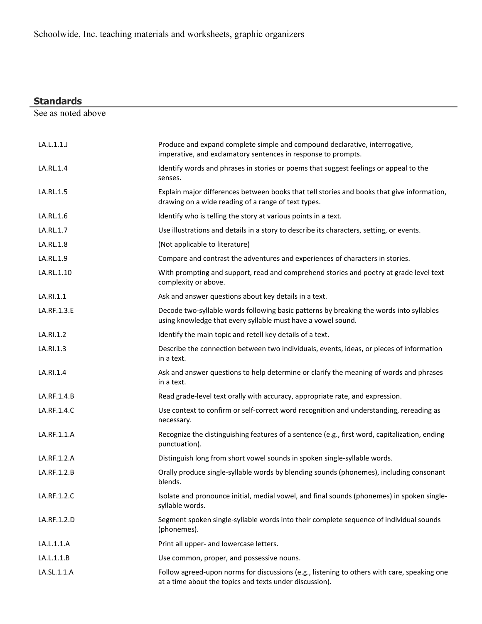| <b>Standards</b>   |                                                                                                                                                         |
|--------------------|---------------------------------------------------------------------------------------------------------------------------------------------------------|
| See as noted above |                                                                                                                                                         |
|                    |                                                                                                                                                         |
| LA.L.1.1.J         | Produce and expand complete simple and compound declarative, interrogative,<br>imperative, and exclamatory sentences in response to prompts.            |
| LA.RL.1.4          | Identify words and phrases in stories or poems that suggest feelings or appeal to the<br>senses.                                                        |
| LA.RL.1.5          | Explain major differences between books that tell stories and books that give information,<br>drawing on a wide reading of a range of text types.       |
| LA.RL.1.6          | Identify who is telling the story at various points in a text.                                                                                          |
| LA.RL.1.7          | Use illustrations and details in a story to describe its characters, setting, or events.                                                                |
| LA.RL.1.8          | (Not applicable to literature)                                                                                                                          |
| LA.RL.1.9          | Compare and contrast the adventures and experiences of characters in stories.                                                                           |
| LA.RL.1.10         | With prompting and support, read and comprehend stories and poetry at grade level text<br>complexity or above.                                          |
| LA.RI.1.1          | Ask and answer questions about key details in a text.                                                                                                   |
| LA.RF.1.3.E        | Decode two-syllable words following basic patterns by breaking the words into syllables<br>using knowledge that every syllable must have a vowel sound. |
| LA.RI.1.2          | Identify the main topic and retell key details of a text.                                                                                               |
| LA.RI.1.3          | Describe the connection between two individuals, events, ideas, or pieces of information<br>in a text.                                                  |
| LA.RI.1.4          | Ask and answer questions to help determine or clarify the meaning of words and phrases<br>in a text.                                                    |
| LA.RF.1.4.B        | Read grade-level text orally with accuracy, appropriate rate, and expression.                                                                           |
| LA.RF.1.4.C        | Use context to confirm or self-correct word recognition and understanding, rereading as<br>necessary.                                                   |
| LA.RF.1.1.A        | Recognize the distinguishing features of a sentence (e.g., first word, capitalization, ending<br>punctuation).                                          |
| LA.RF.1.2.A        | Distinguish long from short vowel sounds in spoken single-syllable words.                                                                               |
| LA.RF.1.2.B        | Orally produce single-syllable words by blending sounds (phonemes), including consonant<br>blends.                                                      |
| LA.RF.1.2.C        | Isolate and pronounce initial, medial vowel, and final sounds (phonemes) in spoken single-<br>syllable words.                                           |
| LA.RF.1.2.D        | Segment spoken single-syllable words into their complete sequence of individual sounds<br>(phonemes).                                                   |
| LA.L.1.1.A         | Print all upper- and lowercase letters.                                                                                                                 |
| LA.L.1.1.B         | Use common, proper, and possessive nouns.                                                                                                               |
| LA.SL.1.1.A        | Follow agreed-upon norms for discussions (e.g., listening to others with care, speaking one<br>at a time about the topics and texts under discussion).  |